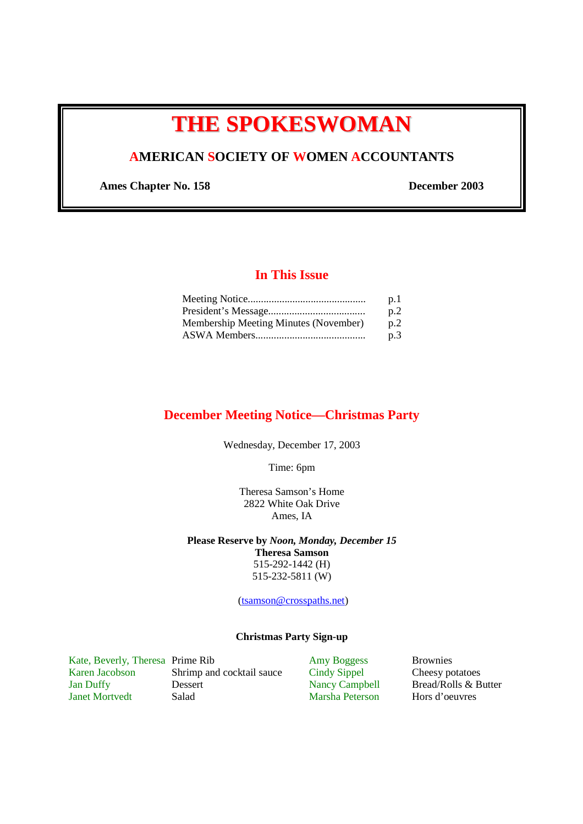# **THE SPOKESWOMAN**

# **AMERICAN SOCIETY OF WOMEN ACCOUNTANTS**

**Ames Chapter No. 158 December 2003** 

# **In This Issue**

|                                       | p.1 |
|---------------------------------------|-----|
|                                       | p.2 |
| Membership Meeting Minutes (November) | n.2 |
|                                       | p.3 |

## **December Meeting Notice—Christmas Party**

Wednesday, December 17, 2003

Time: 6pm

Theresa Samson's Home 2822 White Oak Drive Ames, IA

**Please Reserve by** *Noon, Monday, December 15* **Theresa Samson** 

515-292-1442 (H) 515-232-5811 (W)

(tsamson@crosspaths.net)

#### **Christmas Party Sign-up**

Kate, Beverly, Theresa Prime Rib Amy Boggess Brownies<br>
Karen Jacobson Shrimp and cocktail sauce Cindy Sippel Cheesy po Shrimp and cocktail sauce Cindy Sippel Cheesy potatoes Jan Duffy Dessert Dessert Nancy Campbell Bread/Rolls & Butter<br>
Janet Mortvedt Salad Marsha Peterson Hors d'oeuvres

Marsha Peterson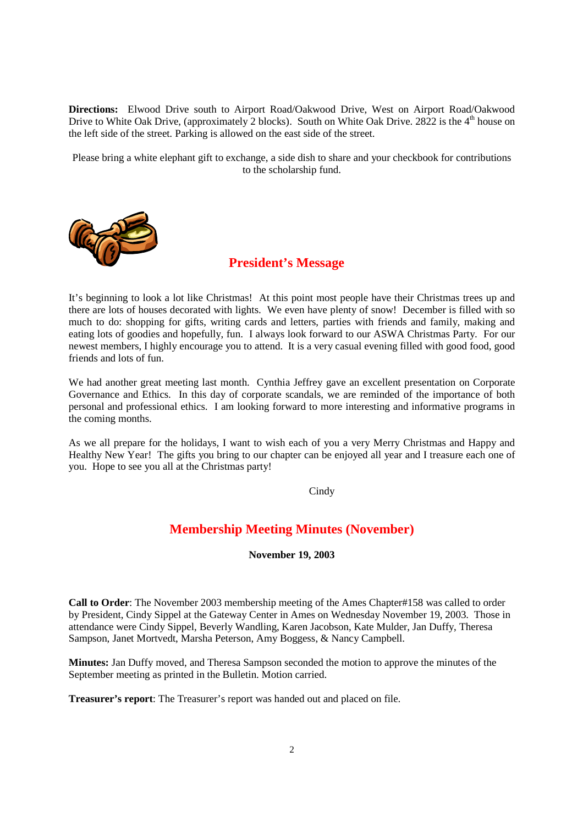**Directions:** Elwood Drive south to Airport Road/Oakwood Drive, West on Airport Road/Oakwood Drive to White Oak Drive, (approximately 2 blocks). South on White Oak Drive. 2822 is the  $4<sup>th</sup>$  house on the left side of the street. Parking is allowed on the east side of the street.

Please bring a white elephant gift to exchange, a side dish to share and your checkbook for contributions to the scholarship fund.



### **President's Message**

It's beginning to look a lot like Christmas! At this point most people have their Christmas trees up and there are lots of houses decorated with lights. We even have plenty of snow! December is filled with so much to do: shopping for gifts, writing cards and letters, parties with friends and family, making and eating lots of goodies and hopefully, fun. I always look forward to our ASWA Christmas Party. For our newest members, I highly encourage you to attend. It is a very casual evening filled with good food, good friends and lots of fun.

We had another great meeting last month. Cynthia Jeffrey gave an excellent presentation on Corporate Governance and Ethics. In this day of corporate scandals, we are reminded of the importance of both personal and professional ethics. I am looking forward to more interesting and informative programs in the coming months.

As we all prepare for the holidays, I want to wish each of you a very Merry Christmas and Happy and Healthy New Year! The gifts you bring to our chapter can be enjoyed all year and I treasure each one of you. Hope to see you all at the Christmas party!

Cindy

## **Membership Meeting Minutes (November)**

**November 19, 2003** 

**Call to Order**: The November 2003 membership meeting of the Ames Chapter#158 was called to order by President, Cindy Sippel at the Gateway Center in Ames on Wednesday November 19, 2003. Those in attendance were Cindy Sippel, Beverly Wandling, Karen Jacobson, Kate Mulder, Jan Duffy, Theresa Sampson, Janet Mortvedt, Marsha Peterson, Amy Boggess, & Nancy Campbell.

**Minutes:** Jan Duffy moved, and Theresa Sampson seconded the motion to approve the minutes of the September meeting as printed in the Bulletin. Motion carried.

**Treasurer's report**: The Treasurer's report was handed out and placed on file.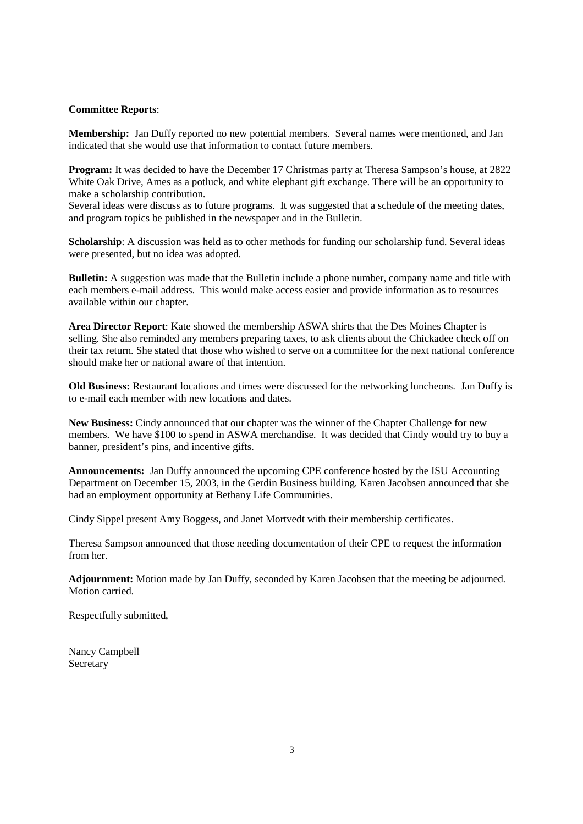#### **Committee Reports**:

**Membership:** Jan Duffy reported no new potential members. Several names were mentioned, and Jan indicated that she would use that information to contact future members.

**Program:** It was decided to have the December 17 Christmas party at Theresa Sampson's house, at 2822 White Oak Drive, Ames as a potluck, and white elephant gift exchange. There will be an opportunity to make a scholarship contribution.

Several ideas were discuss as to future programs. It was suggested that a schedule of the meeting dates, and program topics be published in the newspaper and in the Bulletin.

**Scholarship**: A discussion was held as to other methods for funding our scholarship fund. Several ideas were presented, but no idea was adopted.

**Bulletin:** A suggestion was made that the Bulletin include a phone number, company name and title with each members e-mail address. This would make access easier and provide information as to resources available within our chapter.

**Area Director Report**: Kate showed the membership ASWA shirts that the Des Moines Chapter is selling. She also reminded any members preparing taxes, to ask clients about the Chickadee check off on their tax return. She stated that those who wished to serve on a committee for the next national conference should make her or national aware of that intention.

**Old Business:** Restaurant locations and times were discussed for the networking luncheons. Jan Duffy is to e-mail each member with new locations and dates.

**New Business:** Cindy announced that our chapter was the winner of the Chapter Challenge for new members. We have \$100 to spend in ASWA merchandise. It was decided that Cindy would try to buy a banner, president's pins, and incentive gifts.

**Announcements:** Jan Duffy announced the upcoming CPE conference hosted by the ISU Accounting Department on December 15, 2003, in the Gerdin Business building. Karen Jacobsen announced that she had an employment opportunity at Bethany Life Communities.

Cindy Sippel present Amy Boggess, and Janet Mortvedt with their membership certificates.

Theresa Sampson announced that those needing documentation of their CPE to request the information from her.

**Adjournment:** Motion made by Jan Duffy, seconded by Karen Jacobsen that the meeting be adjourned. Motion carried.

Respectfully submitted,

Nancy Campbell Secretary